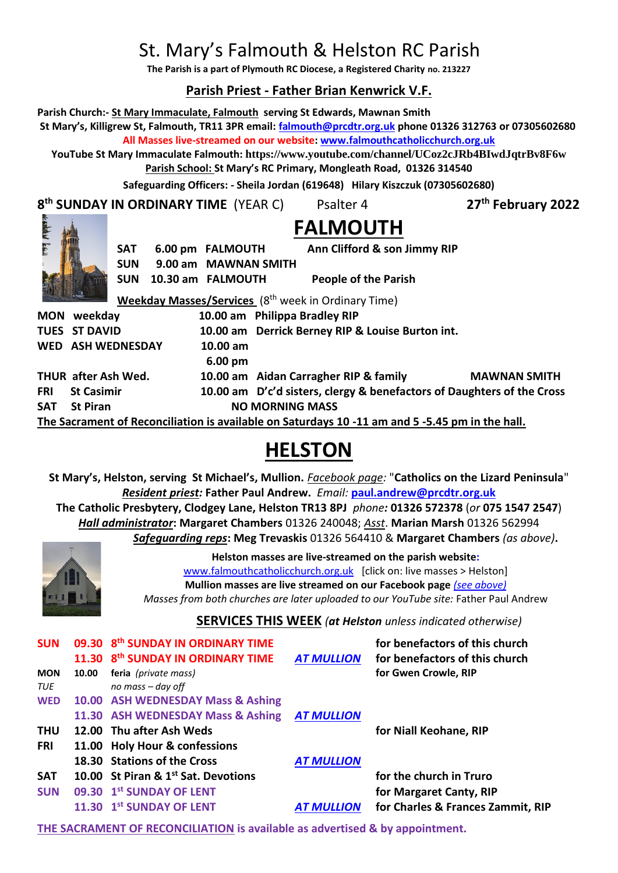# St. Mary's Falmouth & Helston RC Parish

**The Parish is a part of Plymouth RC Diocese, a Registered Charity no. 213227**

# **Parish Priest - Father Brian Kenwrick V.F.**

**Parish Church:- St Mary Immaculate, Falmouth serving St Edwards, Mawnan Smith St Mary's, Killigrew St, Falmouth, TR11 3PR email: [falmouth@prcdtr.org.uk](mailto:falmouth@prcdtr.org.uk) phone 01326 312763 or 07305602680**

**All Masses live-streamed on our website[: www.falmouthcatholicchurch.org.uk](http://www.falmouthcatholicchurch.org.uk/)**

**YouTube St Mary Immaculate Falmouth: <https://www.youtube.com/channel/UCoz2cJRb4BIwdJqtrBv8F6w> Parish School: St Mary's RC Primary, Mongleath Road, 01326 314540**

**Safeguarding Officers: - Sheila Jordan (619648) Hilary Kiszczuk (07305602680)**

**8 th SUNDAY IN ORDINARY TIME** (YEAR C) Psalter 4 **27**

**th February 2022**



**FALMOUTH**

| <b>Link</b>                                                                                     |                                                                          | <b>SAT</b><br><b>SUN</b> |                   | 6.00 pm FALMOUTH<br>9.00 am MAWNAN SMITH |                                                                 |                             | Ann Clifford & son Jimmy RIP |                                                                        |
|-------------------------------------------------------------------------------------------------|--------------------------------------------------------------------------|--------------------------|-------------------|------------------------------------------|-----------------------------------------------------------------|-----------------------------|------------------------------|------------------------------------------------------------------------|
|                                                                                                 |                                                                          | <b>SUN</b>               | 10.30 am FALMOUTH |                                          |                                                                 | <b>People of the Parish</b> |                              |                                                                        |
|                                                                                                 |                                                                          |                          |                   |                                          | Weekday Masses/Services (8 <sup>th</sup> week in Ordinary Time) |                             |                              |                                                                        |
|                                                                                                 | MON weekday                                                              |                          |                   |                                          | 10.00 am Philippa Bradley RIP                                   |                             |                              |                                                                        |
|                                                                                                 | 10.00 am Derrick Berney RIP & Louise Burton int.<br><b>TUES ST DAVID</b> |                          |                   |                                          |                                                                 |                             |                              |                                                                        |
|                                                                                                 | <b>WED ASH WEDNESDAY</b>                                                 |                          |                   | 10.00 am                                 |                                                                 |                             |                              |                                                                        |
|                                                                                                 |                                                                          |                          |                   | $6.00 \text{ pm}$                        |                                                                 |                             |                              |                                                                        |
|                                                                                                 | THUR after Ash Wed.                                                      |                          |                   |                                          | 10.00 am Aidan Carragher RIP & family                           |                             |                              | <b>MAWNAN SMITH</b>                                                    |
| FRI                                                                                             | <b>St Casimir</b>                                                        |                          |                   |                                          |                                                                 |                             |                              | 10.00 am D'c'd sisters, clergy & benefactors of Daughters of the Cross |
| SAT                                                                                             | <b>St Piran</b>                                                          |                          |                   |                                          | <b>NO MORNING MASS</b>                                          |                             |                              |                                                                        |
| The Sacrament of Reconciliation is available on Saturdays 10 -11 am and 5 -5.45 pm in the hall. |                                                                          |                          |                   |                                          |                                                                 |                             |                              |                                                                        |

# **HELSTON**

**St Mary's, Helston, serving St Michael's, Mullion.** *Facebook page:* "**Catholics on the Lizard Peninsula**" *Resident priest:* **Father Paul Andrew.** *Email:* **[paul.andrew@prcdtr.org.uk](mailto:paul.andrew@prcdtr.org.uk) The Catholic Presbytery, Clodgey Lane, Helston TR13 8PJ** *phone:* **01326 572378** (*or* **075 1547 2547**) *Hall administrator***: Margaret Chambers** 01326 240048; *Asst*. **Marian Marsh** 01326 562994

*Safeguarding reps***: Meg Trevaskis** 01326 564410 & **Margaret Chambers** *(as above)***.** 



**Helston masses are live-streamed on the parish website:** 

[www.falmouthcatholicchurch.org.uk](http://www.falmouthcatholicchurch.org.uk/) [click on: live masses > Helston] **Mullion masses are live streamed on our Facebook page** *(see above) Masses from both churches are later uploaded to our YouTube site:* Father Paul Andrew

# **SERVICES THIS WEEK** *(at Helston unless indicated otherwise)*

| <b>SUN</b> |       | 09.30 8th SUNDAY IN ORDINARY TIME             |                   | for benefactors of this church    |
|------------|-------|-----------------------------------------------|-------------------|-----------------------------------|
|            |       | 11.30 8 <sup>th</sup> SUNDAY IN ORDINARY TIME | <b>AT MULLION</b> | for benefactors of this church    |
| <b>MON</b> | 10.00 | feria (private mass)                          |                   | for Gwen Crowle, RIP              |
| TUE        |       | no mass - day off                             |                   |                                   |
| <b>WED</b> |       | 10.00 ASH WEDNESDAY Mass & Ashing             |                   |                                   |
|            |       | 11.30 ASH WEDNESDAY Mass & Ashing AT MULLION  |                   |                                   |
| <b>THU</b> |       | 12.00 Thu after Ash Weds                      |                   | for Niall Keohane, RIP            |
| <b>FRI</b> |       | 11.00 Holy Hour & confessions                 |                   |                                   |
|            |       | 18.30 Stations of the Cross                   | <b>AT MULLION</b> |                                   |
| <b>SAT</b> |       | 10.00 St Piran & 1st Sat. Devotions           |                   | for the church in Truro           |
| <b>SUN</b> |       | 09.30 1st SUNDAY OF LENT                      |                   | for Margaret Canty, RIP           |
|            |       | 11.30 1st SUNDAY OF LENT                      | <b>AT MULLION</b> | for Charles & Frances Zammit, RIP |

**THE SACRAMENT OF RECONCILIATION is available as advertised & by appointment.**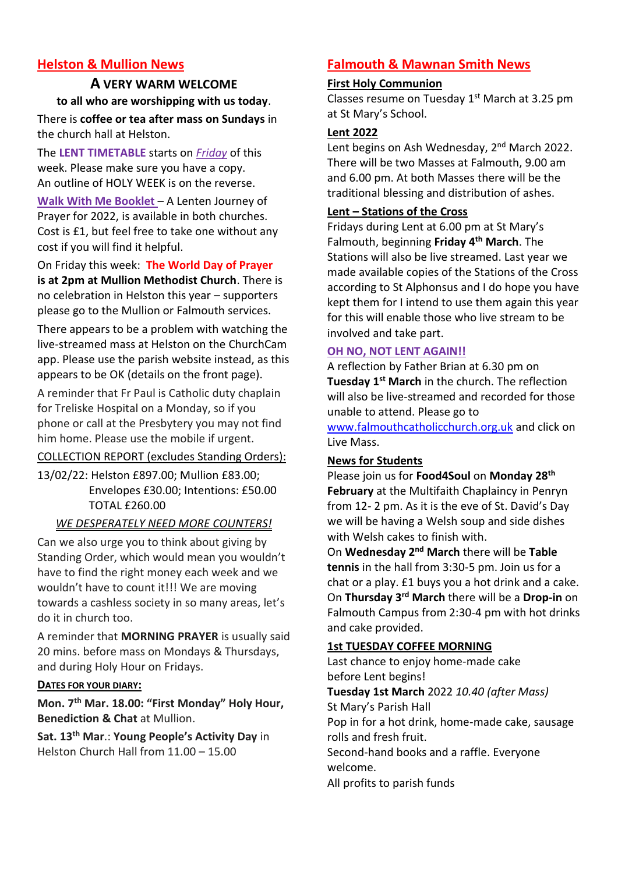# **Helston & Mullion News**

# **A VERY WARM WELCOME to all who are worshipping with us today**.

There is **coffee or tea after mass on Sundays** in the church hall at Helston.

The **LENT TIMETABLE** starts on *Friday* of this week. Please make sure you have a copy. An outline of HOLY WEEK is on the reverse.

**Walk With Me Booklet** – A Lenten Journey of Prayer for 2022, is available in both churches. Cost is £1, but feel free to take one without any cost if you will find it helpful.

On Friday this week: **The World Day of Prayer is at 2pm at Mullion Methodist Church**. There is no celebration in Helston this year – supporters please go to the Mullion or Falmouth services.

There appears to be a problem with watching the live-streamed mass at Helston on the ChurchCam app. Please use the parish website instead, as this appears to be OK (details on the front page).

A reminder that Fr Paul is Catholic duty chaplain for Treliske Hospital on a Monday, so if you phone or call at the Presbytery you may not find him home. Please use the mobile if urgent.

# COLLECTION REPORT (excludes Standing Orders):

13/02/22: Helston £897.00; Mullion £83.00; Envelopes £30.00; Intentions: £50.00 TOTAL £260.00

# *WE DESPERATELY NEED MORE COUNTERS!*

Can we also urge you to think about giving by Standing Order, which would mean you wouldn't have to find the right money each week and we wouldn't have to count it!!! We are moving towards a cashless society in so many areas, let's do it in church too.

A reminder that **MORNING PRAYER** is usually said 20 mins. before mass on Mondays & Thursdays, and during Holy Hour on Fridays.

# **DATES FOR YOUR DIARY:**

**Mon. 7th Mar. 18.00: "First Monday" Holy Hour, Benediction & Chat** at Mullion.

**Sat. 13th Mar**.: **Young People's Activity Day** in Helston Church Hall from 11.00 – 15.00

# **Falmouth & Mawnan Smith News**

#### **First Holy Communion**

Classes resume on Tuesday  $1<sup>st</sup>$  March at 3.25 pm at St Mary's School.

#### **Lent 2022**

Lent begins on Ash Wednesday, 2<sup>nd</sup> March 2022. There will be two Masses at Falmouth, 9.00 am and 6.00 pm. At both Masses there will be the traditional blessing and distribution of ashes.

# **Lent – Stations of the Cross**

Fridays during Lent at 6.00 pm at St Mary's Falmouth, beginning **Friday 4th March**. The Stations will also be live streamed. Last year we made available copies of the Stations of the Cross according to St Alphonsus and I do hope you have kept them for I intend to use them again this year for this will enable those who live stream to be involved and take part.

#### **OH NO, NOT LENT AGAIN!!**

A reflection by Father Brian at 6.30 pm on **Tuesday 1st March** in the church. The reflection will also be live-streamed and recorded for those unable to attend. Please go to

[www.falmouthcatholicchurch.org.uk](http://www.falmouthcatholicchurch.org.uk/) and click on Live Mass.

# **News for Students**

Please join us for **Food4Soul** on **Monday 28th February** at the Multifaith Chaplaincy in Penryn from 12- 2 pm. As it is the eve of St. David's Day we will be having a Welsh soup and side dishes with Welsh cakes to finish with.

On **Wednesday 2nd March** there will be **Table tennis** in the hall from 3:30-5 pm. Join us for a chat or a play. £1 buys you a hot drink and a cake. On **Thursday 3rd March** there will be a **Drop-in** on Falmouth Campus from 2:30-4 pm with hot drinks and cake provided.

# **1st TUESDAY COFFEE MORNING**

Last chance to enjoy home-made cake before Lent begins! **Tuesday 1st March** 2022 *10.40 (after Mass)* St Mary's Parish Hall Pop in for a hot drink, home-made cake, sausage rolls and fresh fruit. Second-hand books and a raffle. Everyone welcome. All profits to parish funds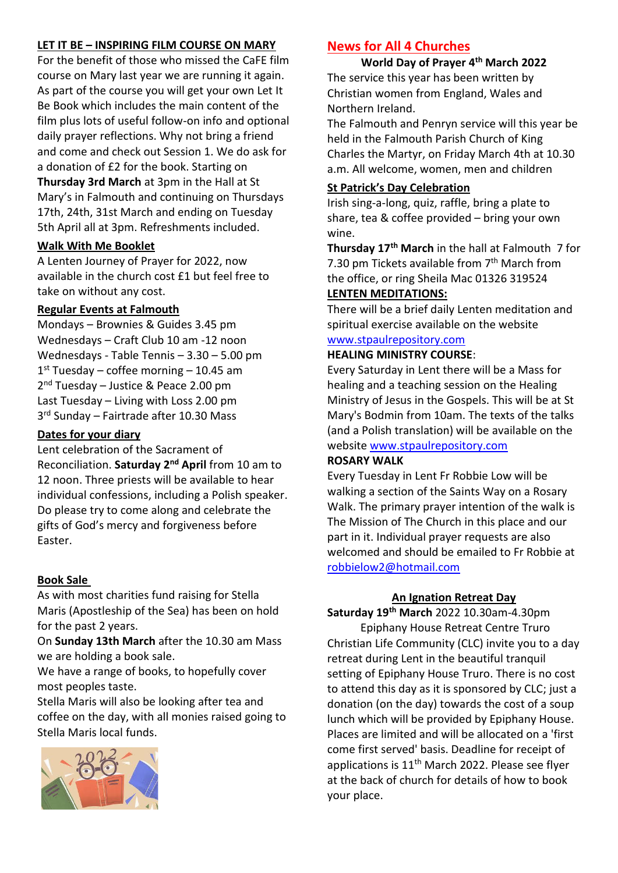# **LET IT BE – INSPIRING FILM COURSE ON MARY**

For the benefit of those who missed the CaFE film course on Mary last year we are running it again. As part of the course you will get your own Let It Be Book which includes the main content of the film plus lots of useful follow-on info and optional daily prayer reflections. Why not bring a friend and come and check out Session 1. We do ask for a donation of £2 for the book. Starting on **Thursday 3rd March** at 3pm in the Hall at St Mary's in Falmouth and continuing on Thursdays 17th, 24th, 31st March and ending on Tuesday 5th April all at 3pm. Refreshments included.

# **Walk With Me Booklet**

A Lenten Journey of Prayer for 2022, now available in the church cost £1 but feel free to take on without any cost.

#### **Regular Events at Falmouth**

Mondays – Brownies & Guides 3.45 pm Wednesdays – Craft Club 10 am -12 noon Wednesdays - Table Tennis – 3.30 – 5.00 pm 1 st Tuesday – coffee morning – 10.45 am 2<sup>nd</sup> Tuesday - Justice & Peace 2.00 pm Last Tuesday – Living with Loss 2.00 pm 3<sup>rd</sup> Sunday - Fairtrade after 10.30 Mass

# **Dates for your diary**

Lent celebration of the Sacrament of Reconciliation. **Saturday 2nd April** from 10 am to 12 noon. Three priests will be available to hear individual confessions, including a Polish speaker. Do please try to come along and celebrate the gifts of God's mercy and forgiveness before Easter.

#### **Book Sale**

As with most charities fund raising for Stella Maris (Apostleship of the Sea) has been on hold for the past 2 years.

On **Sunday 13th March** after the 10.30 am Mass we are holding a book sale.

We have a range of books, to hopefully cover most peoples taste.

Stella Maris will also be looking after tea and coffee on the day, with all monies raised going to Stella Maris local funds.



# **News for All 4 Churches**

**World Day of Prayer 4th March 2022** The service this year has been written by Christian women from England, Wales and Northern Ireland.

The Falmouth and Penryn service will this year be held in the Falmouth Parish Church of King Charles the Martyr, on Friday March 4th at 10.30 a.m. All welcome, women, men and children

#### **St Patrick's Day Celebration**

Irish sing-a-long, quiz, raffle, bring a plate to share, tea & coffee provided – bring your own wine.

**Thursday 17th March** in the hall at Falmouth 7 for 7.30 pm Tickets available from 7<sup>th</sup> March from the office, or ring Sheila Mac 01326 319524 **LENTEN MEDITATIONS:**

There will be a brief daily Lenten meditation and spiritual exercise available on the website

# [www.stpaulrepository.com](http://www.stpaulrepository.com/)

#### **HEALING MINISTRY COURSE**:

Every Saturday in Lent there will be a Mass for healing and a teaching session on the Healing Ministry of Jesus in the Gospels. This will be at St Mary's Bodmin from 10am. The texts of the talks (and a Polish translation) will be available on the website [www.stpaulrepository.com](http://www.stpaulrepository.com/)

#### **ROSARY WALK**

Every Tuesday in Lent Fr Robbie Low will be walking a section of the Saints Way on a Rosary Walk. The primary prayer intention of the walk is The Mission of The Church in this place and our part in it. Individual prayer requests are also welcomed and should be emailed to Fr Robbie at [robbielow2@hotmail.com](mailto:robbielow2@hotmail.com)

#### **An Ignation Retreat Day**

**Saturday 19th March** 2022 10.30am-4.30pm

Epiphany House Retreat Centre Truro Christian Life Community (CLC) invite you to a day retreat during Lent in the beautiful tranquil setting of Epiphany House Truro. There is no cost to attend this day as it is sponsored by CLC; just a donation (on the day) towards the cost of a soup lunch which will be provided by Epiphany House. Places are limited and will be allocated on a 'first come first served' basis. Deadline for receipt of applications is  $11<sup>th</sup>$  March 2022. Please see flyer at the back of church for details of how to book your place.